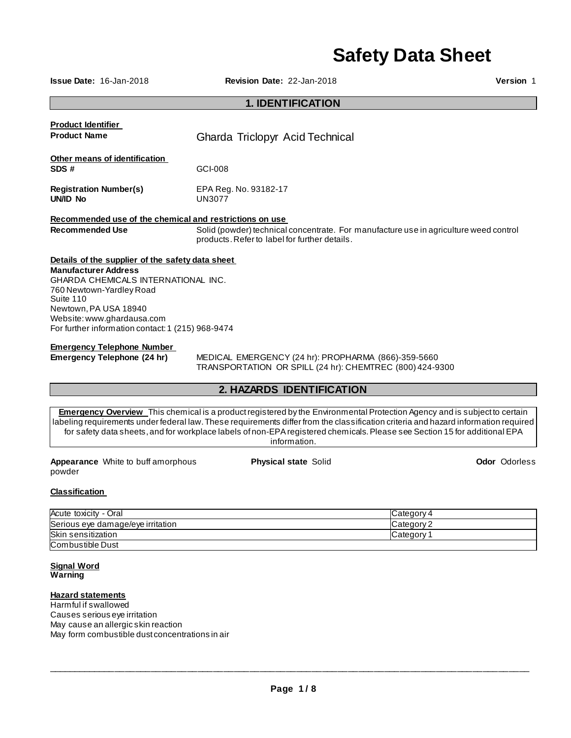# **Safety Data Sheet**

**Issue Date:** 16-Jan-2018 **Revision Date:** 22-Jan-2018 **Version** 1

## **1. IDENTIFICATION**

| <b>Product Identifier</b>                               |                                                                                                                                        |
|---------------------------------------------------------|----------------------------------------------------------------------------------------------------------------------------------------|
| <b>Product Name</b>                                     | Gharda Triclopyr Acid Technical                                                                                                        |
| Other means of identification                           |                                                                                                                                        |
| SDS#                                                    | GCI-008                                                                                                                                |
| <b>Registration Number(s)</b><br>UN/ID No               | EPA Reg. No. 93182-17<br><b>UN3077</b>                                                                                                 |
| Recommended use of the chemical and restrictions on use |                                                                                                                                        |
| <b>Recommended Use</b>                                  | Solid (powder) technical concentrate. For manufacture use in agriculture weed control<br>products. Refer to label for further details. |
| Details of the supplier of the safety data sheet        |                                                                                                                                        |
| <b>Manufacturer Address</b>                             |                                                                                                                                        |
| GHARDA CHEMICALS INTERNATIONAL INC.                     |                                                                                                                                        |
| 760 Newtown-Yardley Road<br>Suite 110                   |                                                                                                                                        |
| Newtown, PA USA 18940                                   |                                                                                                                                        |
| Website: www.ghardausa.com                              |                                                                                                                                        |
| For further information contact: 1 (215) 968-9474       |                                                                                                                                        |
| <b>Emergency Telephone Number</b>                       |                                                                                                                                        |
|                                                         | $\overline{M}$ PRIO $\overline{M}$ PMPROFMOV/(0.4.1) RROBHARMA (0.00) OFO FOOD                                                         |

**Emergency Telephone (24 hr)** MEDICAL EMERGENCY (24 hr): PROPHARMA (866)-359-5660 TRANSPORTATION OR SPILL (24 hr): CHEMTREC (800) 424-9300

## **2. HAZARDS IDENTIFICATION**

**Emergency Overview** This chemical is a product registered by the Environmental Protection Agency and is subject to certain labeling requirements under federal law. These requirements differ from the classification criteria and hazard information required for safety data sheets, and for workplace labels of non-EPA registered chemicals. Please see Section 15 for additional EPA information.

**Appearance** White to buff amorphous powder

**Physical state** Solid **Odor Odorless** 

## **Classification**

| Acute toxicity<br>- Oral          | Category 4 |
|-----------------------------------|------------|
| Serious eye damage/eye irritation | Category 2 |
| Skin sensitization                | Category   |
| Combustible Dust                  |            |

**Signal Word Warning** 

## **Hazard statements**

Harmful if swallowed Causes serious eye irritation May cause an allergic skin reaction May form combustible dust concentrations in air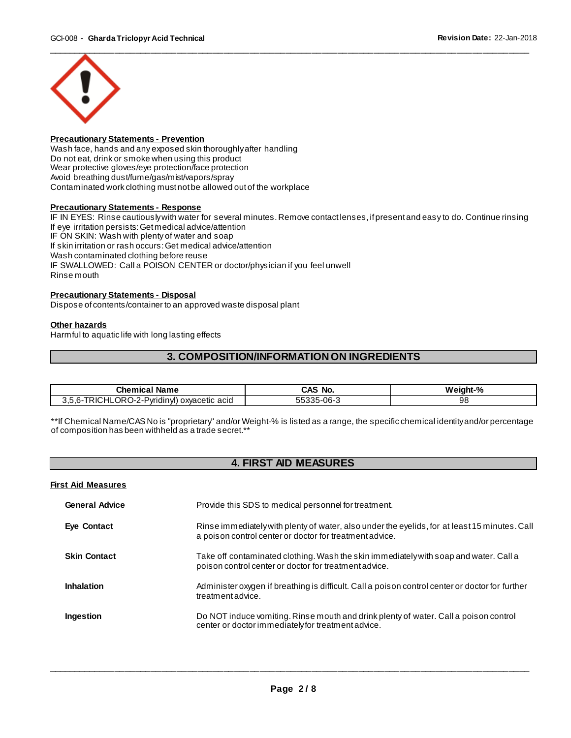

## **Precautionary Statements - Prevention**

Wash face, hands and any exposed skin thoroughly after handling Do not eat, drink or smoke when using this product Wear protective gloves/eye protection/face protection Avoid breathing dust/fume/gas/mist/vapors/spray Contaminated work clothing must not be allowed out of the workplace

## **Precautionary Statements - Response**

IF IN EYES: Rinse cautiously with water for several minutes. Remove contact lenses, if present and easy to do. Continue rinsing If eye irritation persists: Get medical advice/attention IF ON SKIN: Wash with plenty of water and soap If skin irritation or rash occurs: Get medical advice/attention Wash contaminated clothing before reuse IF SWALLOWED: Call a POISON CENTER or doctor/physician if you feel unwell Rinse mouth

## **Precautionary Statements - Disposal**

Dispose of contents/container to an approved waste disposal plant

#### **Other hazards**

Harmful to aquatic life with long lasting effects

## **3. COMPOSITION/INFORMATION ON INGREDIENTS**

| ำhem⊾<br>Name                                                           | N€.<br>No<br>70                 | .<br>$\mathbf{0}$<br>w۰<br>70 |
|-------------------------------------------------------------------------|---------------------------------|-------------------------------|
| י⊊ו<br>acid<br>'vridir<br>oxvacetic<br>n-<br>π<br>ıм<br>. .<br>-<br>- - | $\sim$<br>--<br>.<br>טשי<br>. . | 98                            |

\*\*If Chemical Name/CAS No is "proprietary" and/or Weight-% is listed as a range, the specific chemical identity and/or percentage of composition has been withheld as a trade secret.\*\*

## **4. FIRST AID MEASURES**

### **First Aid Measures**

| <b>General Advice</b> | Provide this SDS to medical personnel for treatment.                                                                                                     |
|-----------------------|----------------------------------------------------------------------------------------------------------------------------------------------------------|
| Eye Contact           | Rinse immediately with plenty of water, also under the eyelids, for at least 15 minutes. Call<br>a poison control center or doctor for treatment advice. |
| <b>Skin Contact</b>   | Take off contaminated clothing. Wash the skin immediately with soap and water. Call a<br>poison control center or doctor for treatment advice.           |
| <b>Inhalation</b>     | Administer oxygen if breathing is difficult. Call a poison control center or doctor for further<br>treatment advice.                                     |
| Ingestion             | Do NOT induce vomiting. Rinse mouth and drink plenty of water. Call a poison control<br>center or doctor immediately for treatment advice.               |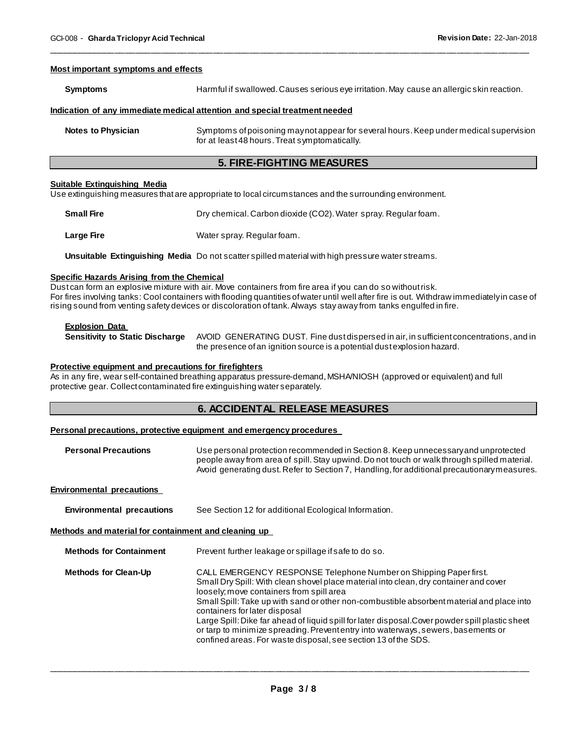#### **Most important symptoms and effects**

| Symptoms | Harmful if swallowed. Causes serious eye irritation. May cause an allergic skin reaction. |
|----------|-------------------------------------------------------------------------------------------|
|          | Indication_of_any immediate medical attention_and special treatment needed_               |

\_\_\_\_\_\_\_\_\_\_\_\_\_\_\_\_\_\_\_\_\_\_\_\_\_\_\_\_\_\_\_\_\_\_\_\_\_\_\_\_\_\_\_\_\_\_\_\_\_\_\_\_\_\_\_\_\_\_\_\_\_\_\_\_\_\_\_\_\_\_\_\_\_\_\_\_\_\_\_\_\_\_\_\_\_\_\_\_\_\_\_\_\_

**Notes to Physician** Symptoms of poisoning may not appear for several hours. Keep under medical supervision for at least 48 hours. Treat symptomatically.

## **5. FIRE-FIGHTING MEASURES**

### **Suitable Extinguishing Media**

Use extinguishing measures that are appropriate to local circumstances and the surrounding environment.

| <b>Small Fire</b> | Dry chemical. Carbon dioxide (CO2). Water spray. Regular foam. |
|-------------------|----------------------------------------------------------------|
| Large Fire        | Water spray. Regular foam.                                     |

**Unsuitable Extinguishing Media** Do not scatter spilled material with high pressure water streams.

#### **Specific Hazards Arising from the Chemical**

Dust can form an explosive mixture with air. Move containers from fire area if you can do so without risk. For fires involving tanks: Cool containers with flooding quantities of water until well after fire is out. Withdraw immediately in case of rising sound from venting safety devices or discoloration of tank. Always stay away from tanks engulfed in fire.

#### **Explosion Data**

**Sensitivity to Static Discharge** AVOID GENERATING DUST. Fine dust dispersed in air, in sufficient concentrations, and in the presence of an ignition source is a potential dust explosion hazard.

## **Protective equipment and precautions for firefighters**

As in any fire, wear self-contained breathing apparatus pressure-demand, MSHA/NIOSH (approved or equivalent) and full protective gear. Collect contaminated fire extinguishing water separately.

## **6. ACCIDENTAL RELEASE MEASURES**

## **Personal precautions, protective equipment and emergency procedures**

| <b>Personal Precautions</b> | Use personal protection recommended in Section 8. Keep unnecessary and unprotected<br>people away from area of spill. Stay upwind. Do not touch or walk through spilled material. |
|-----------------------------|-----------------------------------------------------------------------------------------------------------------------------------------------------------------------------------|
|                             | Avoid generating dust. Refer to Section 7, Handling, for additional precautionary measures.                                                                                       |
|                             |                                                                                                                                                                                   |

## **Environmental precautions**

**Environmental precautions** See Section 12 for additional Ecological Information.

#### **Methods and material for containment and cleaning up**

| <b>Methods for Containment</b> | Prevent further leakage or spillage if safe to do so.                                                                                                                                                                                                                                                                                                                                                                                                                                                                                                                                           |
|--------------------------------|-------------------------------------------------------------------------------------------------------------------------------------------------------------------------------------------------------------------------------------------------------------------------------------------------------------------------------------------------------------------------------------------------------------------------------------------------------------------------------------------------------------------------------------------------------------------------------------------------|
| <b>Methods for Clean-Up</b>    | CALL EMERGENCY RESPONSE Telephone Number on Shipping Paper first.<br>Small Dry Spill: With clean shovel place material into clean, dry container and cover<br>loosely; move containers from spill area<br>Small Spill: Take up with sand or other non-combustible absorbent material and place into<br>containers for later disposal<br>Large Spill: Dike far ahead of liquid spill for later disposal. Cover powder spill plastic sheet<br>or tarp to minimize spreading. Prevent entry into waterways, sewers, basements or<br>confined areas. For waste disposal, see section 13 of the SDS. |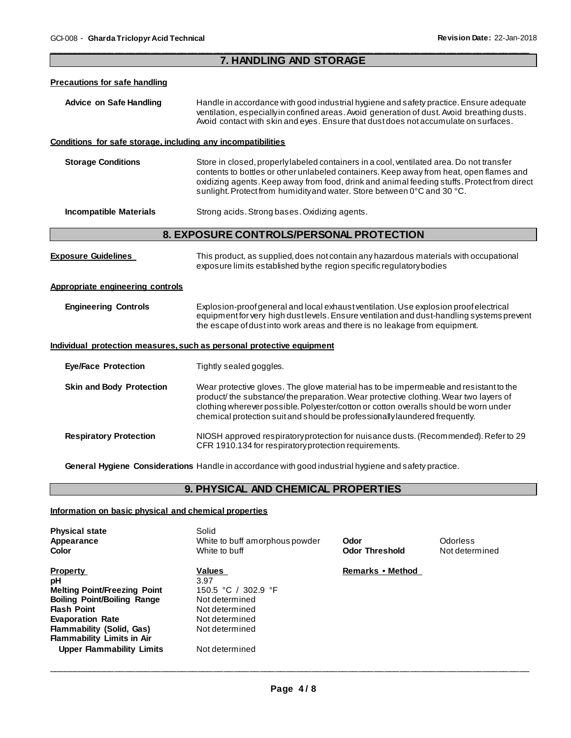| 7. HANDLING AND STORAGE                                      |                                                                                                                                                                                                                                                                                                                                                              |  |
|--------------------------------------------------------------|--------------------------------------------------------------------------------------------------------------------------------------------------------------------------------------------------------------------------------------------------------------------------------------------------------------------------------------------------------------|--|
| <b>Precautions for safe handling</b>                         |                                                                                                                                                                                                                                                                                                                                                              |  |
| <b>Advice on Safe Handling</b>                               | Handle in accordance with good industrial hygiene and safety practice. Ensure adequate<br>ventilation, especially in confined areas. Avoid generation of dust. Avoid breathing dusts.<br>Avoid contact with skin and eyes. Ensure that dust does not accumulate on surfaces.                                                                                 |  |
| Conditions for safe storage, including any incompatibilities |                                                                                                                                                                                                                                                                                                                                                              |  |
| <b>Storage Conditions</b>                                    | Store in closed, properlylabeled containers in a cool, ventilated area. Do not transfer<br>contents to bottles or other unlabeled containers. Keep away from heat, open flames and<br>oxidizing agents. Keep away from food, drink and animal feeding stuffs. Protect from direct<br>sunlight. Protect from humidity and water. Store between 0°C and 30 °C. |  |
| <b>Incompatible Materials</b>                                | Strong acids. Strong bases. Oxidizing agents.                                                                                                                                                                                                                                                                                                                |  |
|                                                              | 8. EXPOSURE CONTROLS/PERSONAL PROTECTION                                                                                                                                                                                                                                                                                                                     |  |
| <b>Exposure Guidelines</b>                                   | This product, as supplied, does not contain any hazardous materials with occupational<br>exposure limits established by the region specific regulatory bodies                                                                                                                                                                                                |  |
| Appropriate engineering controls                             |                                                                                                                                                                                                                                                                                                                                                              |  |
| <b>Engineering Controls</b>                                  | Explosion-proof general and local exhaust ventilation. Use explosion proof electrical<br>equipment for very high dust levels. Ensure ventilation and dust-handling systems prevent<br>the escape of dust into work areas and there is no leakage from equipment.                                                                                             |  |
|                                                              | Individual protection measures, such as personal protective equipment                                                                                                                                                                                                                                                                                        |  |
| <b>Eye/Face Protection</b>                                   | Tightly sealed goggles.                                                                                                                                                                                                                                                                                                                                      |  |
| <b>Skin and Body Protection</b>                              | Wear protective gloves. The glove material has to be impermeable and resistant to the<br>product/ the substance/ the preparation. Wear protective clothing. Wear two layers of<br>clothing wherever possible. Polyester/cotton or cotton overalls should be worn under<br>chemical protection suit and should be professionally laundered frequently.        |  |
| <b>Respiratory Protection</b>                                | NIOSH approved respiratoryprotection for nuisance dusts. (Recommended). Refer to 29<br>CFR 1910.134 for respiratory protection requirements.                                                                                                                                                                                                                 |  |
|                                                              | General Hygiene Considerations Handle in accordance with good industrial hygiene and safety practice.                                                                                                                                                                                                                                                        |  |

## **9. PHYSICAL AND CHEMICAL PROPERTIES**

## **Information on basic physical and chemical properties**

| <b>Physical state</b><br>Appearance<br>Color                                                                                                                                                                                                                     | Solid<br>White to buff amorphous powder<br>White to buff                                                                        | Odor<br><b>Odor Threshold</b> | Odorless<br>Not determined |
|------------------------------------------------------------------------------------------------------------------------------------------------------------------------------------------------------------------------------------------------------------------|---------------------------------------------------------------------------------------------------------------------------------|-------------------------------|----------------------------|
| <b>Property</b><br>рH<br><b>Melting Point/Freezing Point</b><br><b>Boiling Point/Boiling Range</b><br><b>Flash Point</b><br><b>Evaporation Rate</b><br><b>Flammability (Solid, Gas)</b><br><b>Flammability Limits in Air</b><br><b>Upper Flammability Limits</b> | Values<br>3.97<br>150.5 °C / 302.9 °F<br>Not determined<br>Not determined<br>Not determined<br>Not determined<br>Not determined | Remarks • Method              |                            |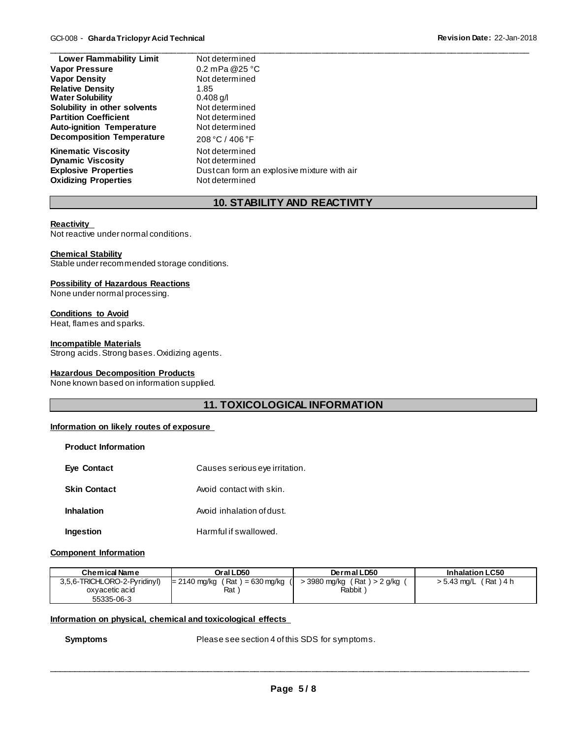| <b>Lower Flammability Limit</b>  | Not determined                              |
|----------------------------------|---------------------------------------------|
| <b>Vapor Pressure</b>            | 0.2 mPa @25 $^{\circ}$ C                    |
| <b>Vapor Density</b>             | Not determined                              |
| <b>Relative Density</b>          | 1.85                                        |
| <b>Water Solubility</b>          | $0.408$ g/l                                 |
| Solubility in other solvents     | Not determined                              |
| <b>Partition Coefficient</b>     | Not determined                              |
| <b>Auto-ignition Temperature</b> | Not determined                              |
| <b>Decomposition Temperature</b> | 208 °C / 406 °F                             |
| <b>Kinematic Viscosity</b>       | Not determined                              |
| <b>Dynamic Viscosity</b>         | Not determined                              |
| <b>Explosive Properties</b>      | Dust can form an explosive mixture with air |
| <b>Oxidizing Properties</b>      | Not determined                              |

# **10. STABILITY AND REACTIVITY**

## **Reactivity**

Not reactive under normal conditions.

## **Chemical Stability**

Stable under recommended storage conditions.

## **Possibility of Hazardous Reactions**

None under normal processing.

## **Conditions to Avoid**

Heat, flames and sparks.

## **Incompatible Materials**

**Product Information** 

Strong acids. Strong bases. Oxidizing agents.

## **Hazardous Decomposition Products**

None known based on information supplied.

## **11. TOXICOLOGICAL INFORMATION**

## **Information on likely routes of exposure**

| <b>Product Information</b> |                                |
|----------------------------|--------------------------------|
| <b>Eye Contact</b>         | Causes serious eye irritation. |
| <b>Skin Contact</b>        | Avoid contact with skin.       |
| <b>Inhalation</b>          | Avoid inhalation of dust.      |
| Ingestion                  | Harmful if swallowed.          |

## **Component Information**

| Chemical Name                | Oral LD50                        | Dermal LD50                   | <b>Inhalation LC50</b>      |
|------------------------------|----------------------------------|-------------------------------|-----------------------------|
| 3,5,6-TRICHLORO-2-Pyridinyl) | $= 2140$ mg/kg (Rat) = 630 mg/kg | > 3980 mg/kg (Rat) > 2 g/kg ( | (Rat)4 h<br>$> 5.43$ mg/L ( |
| oxyacetic acid               | Rat                              | Rabbit                        |                             |
| 55335-06-3                   |                                  |                               |                             |

#### **Information on physical, chemical and toxicological effects**

**Symptoms** Please see section 4 of this SDS for symptoms.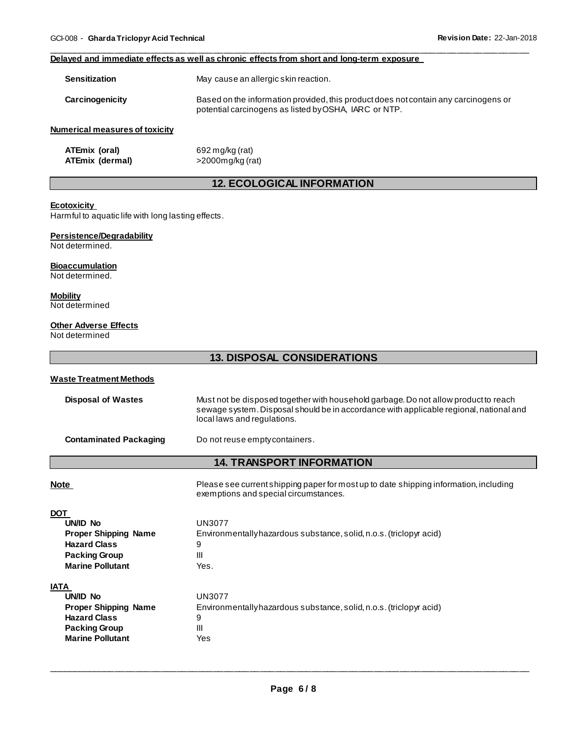#### **Delayed and immediate effects as well as chronic effects from short and long-term exposure**

| <b>Sensitization</b>           | May cause an allergic skin reaction.                                                                                                         |
|--------------------------------|----------------------------------------------------------------------------------------------------------------------------------------------|
| Carcinogenicity                | Based on the information provided, this product does not contain any carcinogens or<br>potential carcinogens as listed by OSHA, IARC or NTP. |
| Numerical measures of toxicity |                                                                                                                                              |
| ATEmiv (oral)                  | $602 \text{ m}$ alka (rot)                                                                                                                   |

\_\_\_\_\_\_\_\_\_\_\_\_\_\_\_\_\_\_\_\_\_\_\_\_\_\_\_\_\_\_\_\_\_\_\_\_\_\_\_\_\_\_\_\_\_\_\_\_\_\_\_\_\_\_\_\_\_\_\_\_\_\_\_\_\_\_\_\_\_\_\_\_\_\_\_\_\_\_\_\_\_\_\_\_\_\_\_\_\_\_\_\_\_

**ATEmix (oral)** 692 mg/kg (rat)<br>**ATEmix (dermal)** 2000mg/kg (rat) **ATEmix (dermal)** 

## **12. ECOLOGICAL INFORMATION**

## **Ecotoxicity**

Harmful to aquatic life with long lasting effects.

## **Persistence/Degradability**

Not determined.

## **Bioaccumulation**

Not determined.

## **Mobility** Not determined

# **Other Adverse Effects**

Not determined

## **13. DISPOSAL CONSIDERATIONS**

## **Waste Treatment Methods**

| <b>Disposal of Wastes</b>        | Must not be disposed together with household garbage. Do not allow product to reach<br>sewage system. Disposal should be in accordance with applicable regional, national and<br>local laws and regulations. |  |  |  |  |
|----------------------------------|--------------------------------------------------------------------------------------------------------------------------------------------------------------------------------------------------------------|--|--|--|--|
| <b>Contaminated Packaging</b>    | Do not reuse empty containers.                                                                                                                                                                               |  |  |  |  |
| <b>14. TRANSPORT INFORMATION</b> |                                                                                                                                                                                                              |  |  |  |  |
| <b>Note</b>                      | Please see current shipping paper for most up to date shipping information, including<br>exemptions and special circumstances.                                                                               |  |  |  |  |
| <b>DOT</b>                       |                                                                                                                                                                                                              |  |  |  |  |
| UN/ID No                         | <b>UN3077</b>                                                                                                                                                                                                |  |  |  |  |
| <b>Proper Shipping Name</b>      | Environmentally hazardous substance, solid, n.o.s. (triclopyr acid)                                                                                                                                          |  |  |  |  |
| <b>Hazard Class</b>              | 9                                                                                                                                                                                                            |  |  |  |  |
| <b>Packing Group</b>             | Ш                                                                                                                                                                                                            |  |  |  |  |
| <b>Marine Pollutant</b>          | Yes.                                                                                                                                                                                                         |  |  |  |  |
| IATA                             |                                                                                                                                                                                                              |  |  |  |  |
| <b>UN/ID No</b>                  | UN3077                                                                                                                                                                                                       |  |  |  |  |
| <b>Proper Shipping Name</b>      | Environmentally hazardous substance, solid, n.o.s. (triclopyr acid)                                                                                                                                          |  |  |  |  |
| <b>Hazard Class</b>              | 9                                                                                                                                                                                                            |  |  |  |  |
| <b>Packing Group</b>             | Ш                                                                                                                                                                                                            |  |  |  |  |
| <b>Marine Pollutant</b>          | Yes                                                                                                                                                                                                          |  |  |  |  |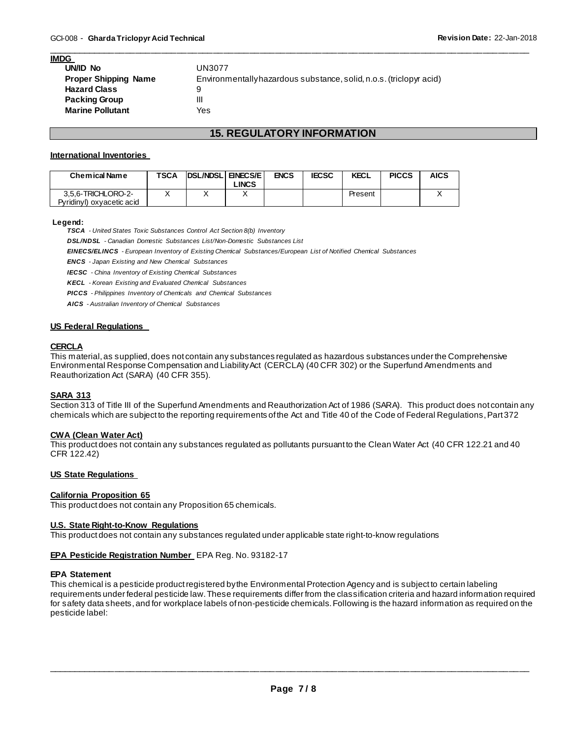## **IMDG**

| UN/ID No                    | UN3077                                                              |
|-----------------------------|---------------------------------------------------------------------|
| <b>Proper Shipping Name</b> | Environmentally hazardous substance, solid, n.o.s. (triclopyr acid) |
| <b>Hazard Class</b>         | 9                                                                   |
| <b>Packing Group</b>        | Ш                                                                   |
| <b>Marine Pollutant</b>     | Yes                                                                 |

## **15. REGULATORY INFORMATION**

\_\_\_\_\_\_\_\_\_\_\_\_\_\_\_\_\_\_\_\_\_\_\_\_\_\_\_\_\_\_\_\_\_\_\_\_\_\_\_\_\_\_\_\_\_\_\_\_\_\_\_\_\_\_\_\_\_\_\_\_\_\_\_\_\_\_\_\_\_\_\_\_\_\_\_\_\_\_\_\_\_\_\_\_\_\_\_\_\_\_\_\_\_

## **International Inventories**

| <b>Chemical Name</b>                            | <b>TSCA</b> | <b>IDSL/NDSLIENECS/EI</b> | <b>LINCS</b> | <b>ENCS</b> | <b>IECSC</b> | <b>KECL</b> | <b>PICCS</b> | <b>AICS</b> |
|-------------------------------------------------|-------------|---------------------------|--------------|-------------|--------------|-------------|--------------|-------------|
| 3.5.6-TRICHLORO-2-<br>Pyridinyl) oxyacetic acid |             |                           |              |             |              | Present     |              |             |

#### **Legend:**

*TSCA - United States Toxic Substances Control Act Section 8(b) Inventory* 

*DSL/NDSL - Canadian Domestic Substances List/Non-Domestic Substances List* 

*EINECS/ELINCS - European Inventory of Existing Chemical Substances/European List of Notified Chemical Substances* 

*ENCS - Japan Existing and New Chemical Substances* 

*IECSC - China Inventory of Existing Chemical Substances* 

*KECL - Korean Existing and Evaluated Chemical Substances* 

*PICCS - Philippines Inventory of Chemicals and Chemical Substances* 

*AICS - Australian Inventory of Chemical Substances* 

## **US Federal Regulations**

## **CERCLA**

This material, as supplied, does not contain any substances regulated as hazardous substances under the Comprehensive Environmental Response Compensation and Liability Act (CERCLA) (40 CFR 302) or the Superfund Amendments and Reauthorization Act (SARA) (40 CFR 355).

#### **SARA 313**

Section 313 of Title III of the Superfund Amendments and Reauthorization Act of 1986 (SARA). This product does not contain any chemicals which are subject to the reporting requirements of the Act and Title 40 of the Code of Federal Regulations, Part 372

#### **CWA (Clean Water Act)**

This product does not contain any substances regulated as pollutants pursuant to the Clean Water Act (40 CFR 122.21 and 40 CFR 122.42)

#### **US State Regulations**

#### **California Proposition 65**

This product does not contain any Proposition 65 chemicals.

#### **U.S. State Right-to-Know Regulations**

This product does not contain any substances regulated under applicable state right-to-know regulations

#### **EPA Pesticide Registration Number** EPA Reg. No. 93182-17

## **EPA Statement**

This chemical is a pesticide product registered by the Environmental Protection Agency and is subject to certain labeling requirements under federal pesticide law. These requirements differ from the classification criteria and hazard information required for safety data sheets, and for workplace labels of non-pesticide chemicals. Following is the hazard information as required on the pesticide label: